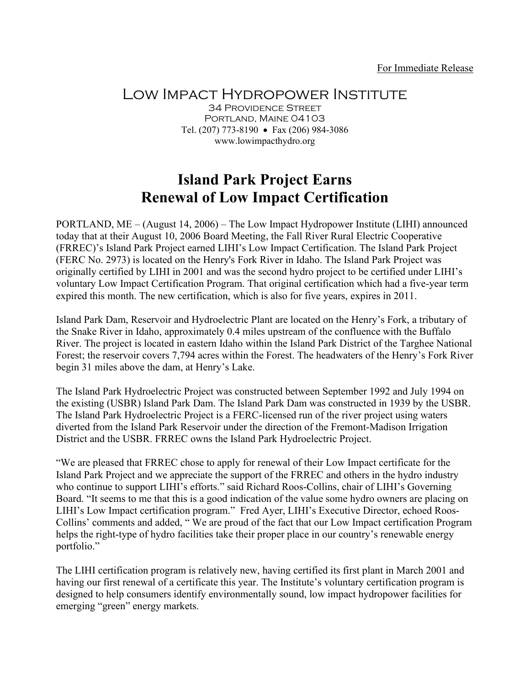## Low Impact Hydropower Institute

34 Providence Street Portland, Maine 04103 Tel. (207) 773-8190 • Fax (206) 984-3086 www.lowimpacthydro.org

## **Island Park Project Earns Renewal of Low Impact Certification**

PORTLAND, ME – (August 14, 2006) – The Low Impact Hydropower Institute (LIHI) announced today that at their August 10, 2006 Board Meeting, the Fall River Rural Electric Cooperative (FRREC)'s Island Park Project earned LIHI's Low Impact Certification. The Island Park Project (FERC No. 2973) is located on the Henry's Fork River in Idaho. The Island Park Project was originally certified by LIHI in 2001 and was the second hydro project to be certified under LIHI's voluntary Low Impact Certification Program. That original certification which had a five-year term expired this month. The new certification, which is also for five years, expires in 2011.

Island Park Dam, Reservoir and Hydroelectric Plant are located on the Henry's Fork, a tributary of the Snake River in Idaho, approximately 0.4 miles upstream of the confluence with the Buffalo River. The project is located in eastern Idaho within the Island Park District of the Targhee National Forest; the reservoir covers 7,794 acres within the Forest. The headwaters of the Henry's Fork River begin 31 miles above the dam, at Henry's Lake.

The Island Park Hydroelectric Project was constructed between September 1992 and July 1994 on the existing (USBR) Island Park Dam. The Island Park Dam was constructed in 1939 by the USBR. The Island Park Hydroelectric Project is a FERC-licensed run of the river project using waters diverted from the Island Park Reservoir under the direction of the Fremont-Madison Irrigation District and the USBR. FRREC owns the Island Park Hydroelectric Project.

"We are pleased that FRREC chose to apply for renewal of their Low Impact certificate for the Island Park Project and we appreciate the support of the FRREC and others in the hydro industry who continue to support LIHI's efforts." said Richard Roos-Collins, chair of LIHI's Governing Board. "It seems to me that this is a good indication of the value some hydro owners are placing on LIHI's Low Impact certification program." Fred Ayer, LIHI's Executive Director, echoed Roos-Collins' comments and added, " We are proud of the fact that our Low Impact certification Program helps the right-type of hydro facilities take their proper place in our country's renewable energy portfolio."

The LIHI certification program is relatively new, having certified its first plant in March 2001 and having our first renewal of a certificate this year. The Institute's voluntary certification program is designed to help consumers identify environmentally sound, low impact hydropower facilities for emerging "green" energy markets.